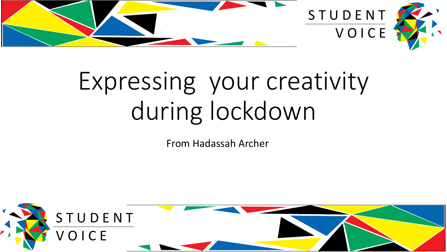

## Expressing your creativity during lockdown

From Hadassah Archer

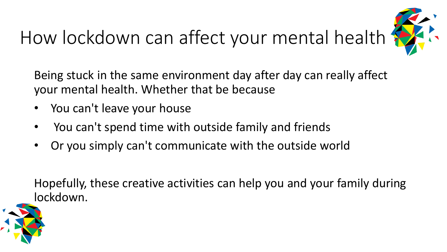## How lockdown can affect your mental health



Being stuck in the same environment day after day can really affect your mental health. Whether that be because

- You can't leave your house
- You can't spend time with outside family and friends
- Or you simply can't communicate with the outside world

Hopefully, these creative activities can help you and your family during lockdown.

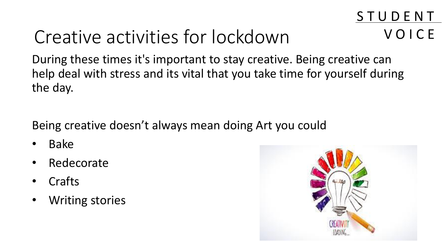## Creative activities for lockdown

During these times it's important to stay creative. Being creative can help deal with stress and its vital that you take time for yourself during the day.

Being creative doesn't always mean doing Art you could

- Bake
- Redecorate
- **Crafts**
- **Writing stories**



S T U D E N T

V O I C E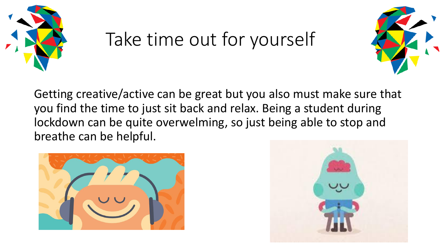

## Take time out for yourself



Getting creative/active can be great but you also must make sure that you find the time to just sit back and relax. Being a student during lockdown can be quite overwelming, so just being able to stop and breathe can be helpful.